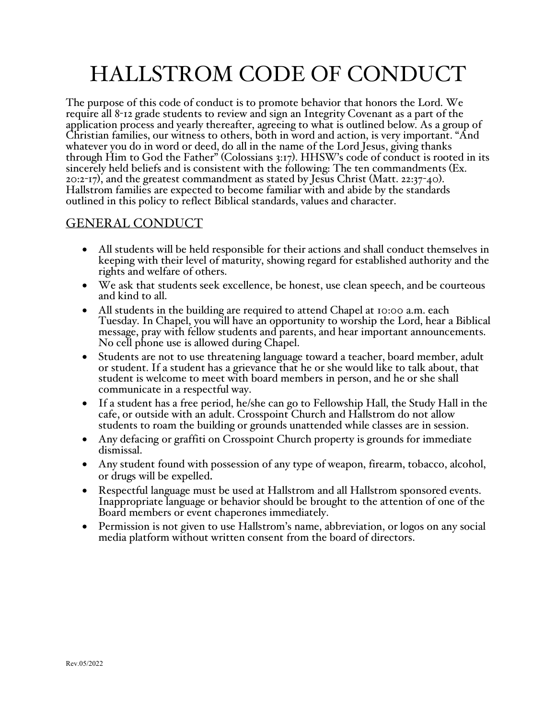# HALLSTROM CODE OF CONDUCT

The purpose of this code of conduct is to promote behavior that honors the Lord. We require all 8-12 grade students to review and sign an Integrity Covenant as a part of the application process and yearly thereafter, agreeing to what is outlined below. As a group of Christian families, our witness to others, both in word and action, is very important. "And whatever you do in word or deed, do all in the name of the Lord Jesus, giving thanks through Him to God the Father" (Colossians 3:17). HHSW's code of conduct is rooted in its sincerely held beliefs and is consistent with the following: The ten commandments (Ex. 20:2-17), and the greatest commandment as stated by Jesus Christ (Matt. 22:37-40). Hallstrom families are expected to become familiar with and abide by the standards outlined in this policy to reflect Biblical standards, values and character.

# GENERAL CONDUCT

- All students will be held responsible for their actions and shall conduct themselves in keeping with their level of maturity, showing regard for established authority and the rights and welfare of others.
- We ask that students seek excellence, be honest, use clean speech, and be courteous and kind to all.
- All students in the building are required to attend Chapel at 10:00 a.m. each Tuesday. In Chapel, you will have an opportunity to worship the Lord, hear a Biblical message, pray with fellow students and parents, and hear important announcements. No cell phone use is allowed during Chapel.
- Students are not to use threatening language toward a teacher, board member, adult or student. If a student has a grievance that he or she would like to talk about, that student is welcome to meet with board members in person, and he or she shall communicate in a respectful way.
- If a student has a free period, he/she can go to Fellowship Hall, the Study Hall in the cafe, or outside with an adult. Crosspoint Church and Hallstrom do not allow students to roam the building or grounds unattended while classes are in session.
- Any defacing or graffiti on Crosspoint Church property is grounds for immediate dismissal.
- Any student found with possession of any type of weapon, firearm, tobacco, alcohol, or drugs will be expelled.
- Respectful language must be used at Hallstrom and all Hallstrom sponsored events. Inappropriate language or behavior should be brought to the attention of one of the Board members or event chaperones immediately.
- Permission is not given to use Hallstrom's name, abbreviation, or logos on any social media platform without written consent from the board of directors.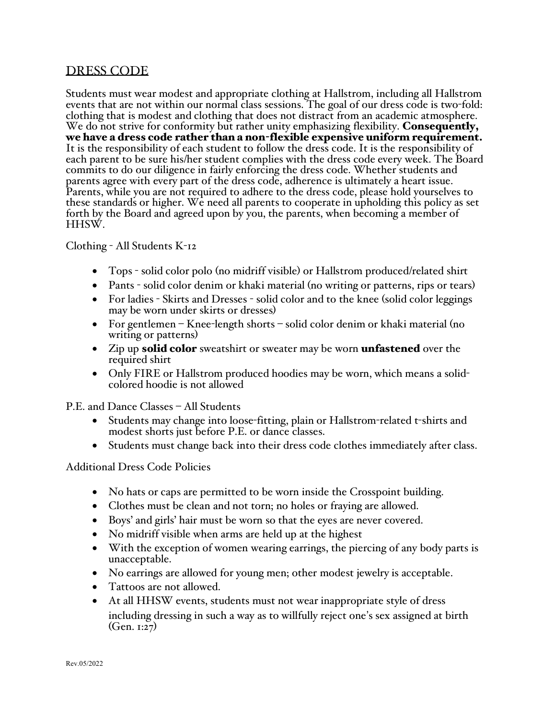# DRESS CODE

Students must wear modest and appropriate clothing at Hallstrom, including all Hallstrom events that are not within our normal class sessions. The goal of our dress code is two-fold: clothing that is modest and clothing that does not distract from an academic atmosphere. We do not strive for conformity but rather unity emphasizing flexibility. Consequently, we have a dress code rather than a non-flexible expensive uniform requirement. It is the responsibility of each student to follow the dress code. It is the responsibility of each parent to be sure his/her student complies with the dress code every week. The Board commits to do our diligence in fairly enforcing the dress code. Whether students and parents agree with every part of the dress code, adherence is ultimately a heart issue. Parents, while you are not required to adhere to the dress code, please hold yourselves to these standards or higher. We need all parents to cooperate in upholding this policy as set forth by the Board and agreed upon by you, the parents, when becoming a member of HHSW.

Clothing - All Students K-12

- Tops solid color polo (no midriff visible) or Hallstrom produced/related shirt
- Pants solid color denim or khaki material (no writing or patterns, rips or tears)
- For ladies Skirts and Dresses solid color and to the knee (solid color leggings may be worn under skirts or dresses)
- For gentlemen Knee-length shorts solid color denim or khaki material (no writing or patterns)
- Zip up **solid color** sweatshirt or sweater may be worn **unfastened** over the required shirt
- Only FIRE or Hallstrom produced hoodies may be worn, which means a solidcolored hoodie is not allowed

P.E. and Dance Classes – All Students

- Students may change into loose-fitting, plain or Hallstrom-related t-shirts and modest shorts just before P.E. or dance classes.
- Students must change back into their dress code clothes immediately after class.

Additional Dress Code Policies

- No hats or caps are permitted to be worn inside the Crosspoint building.
- Clothes must be clean and not torn; no holes or fraying are allowed.
- Boys' and girls' hair must be worn so that the eyes are never covered.
- No midriff visible when arms are held up at the highest
- With the exception of women wearing earrings, the piercing of any body parts is unacceptable.
- No earrings are allowed for young men; other modest jewelry is acceptable.
- Tattoos are not allowed.
- At all HHSW events, students must not wear inappropriate style of dress including dressing in such a way as to willfully reject one's sex assigned at birth (Gen. 1:27)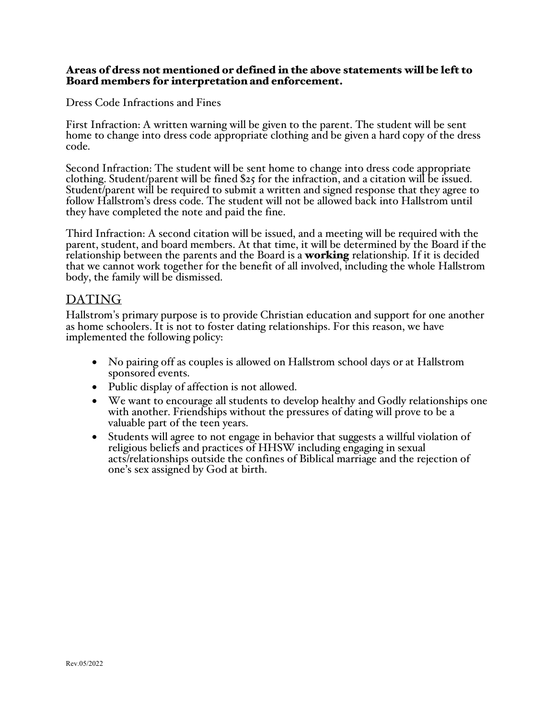## Areas of dress not mentioned or defined in the above statements will be left to Board members for interpretation and enforcement.

Dress Code Infractions and Fines

First Infraction: A written warning will be given to the parent. The student will be sent home to change into dress code appropriate clothing and be given a hard copy of the dress code.

Second Infraction: The student will be sent home to change into dress code appropriate clothing. Student/parent will be fined \$25 for the infraction, and a citation will be issued. Student/parent will be required to submit a written and signed response that they agree to follow Hallstrom's dress code. The student will not be allowed back into Hallstrom until they have completed the note and paid the fine.

Third Infraction: A second citation will be issued, and a meeting will be required with the parent, student, and board members. At that time, it will be determined by the Board if the relationship between the parents and the Board is a **working** relationship. If it is decided that we cannot work together for the benefit of all involved, including the whole Hallstrom body, the family will be dismissed.

# DATING

Hallstrom's primary purpose is to provide Christian education and support for one another as home schoolers. It is not to foster dating relationships. For this reason, we have implemented the following policy:

- No pairing off as couples is allowed on Hallstrom school days or at Hallstrom sponsored events.
- Public display of affection is not allowed.
- We want to encourage all students to develop healthy and Godly relationships one with another. Friendships without the pressures of dating will prove to be a valuable part of the teen years.
- Students will agree to not engage in behavior that suggests a willful violation of religious beliefs and practices of HHSW including engaging in sexual acts/relationships outside the confines of Biblical marriage and the rejection of one's sex assigned by God at birth.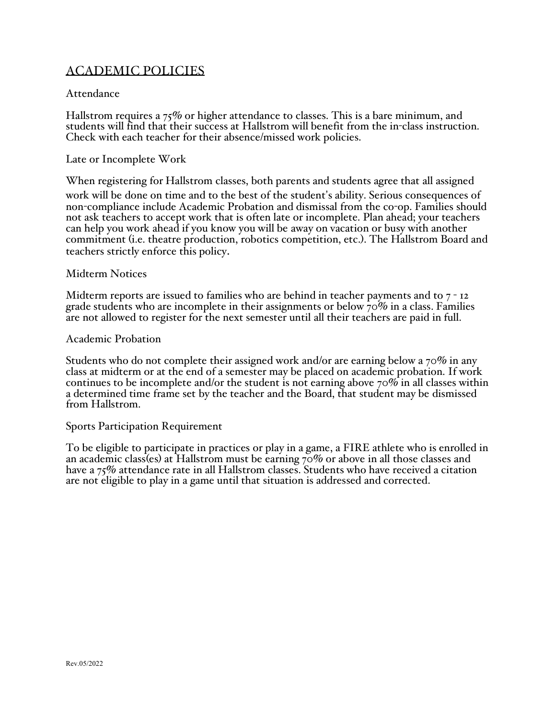# ACADEMIC POLICIES

# Attendance

Hallstrom requires a 75% or higher attendance to classes. This is a bare minimum, and students will find that their success at Hallstrom will benefit from the in-class instruction. Check with each teacher for their absence/missed work policies.

#### Late or Incomplete Work

When registering for Hallstrom classes, both parents and students agree that all assigned work will be done on time and to the best of the student's ability. Serious consequences of non-compliance include Academic Probation and dismissal from the co-op. Families should not ask teachers to accept work that is often late or incomplete. Plan ahead; your teachers can help you work ahead if you know you will be away on vacation or busy with another commitment (i.e. theatre production, robotics competition, etc.). The Hallstrom Board and teachers strictly enforce this policy.

#### Midterm Notices

Midterm reports are issued to families who are behind in teacher payments and to  $7 - 12$ grade students who are incomplete in their assignments or below  $70\%$  in a class. Families are not allowed to register for the next semester until all their teachers are paid in full.

#### Academic Probation

Students who do not complete their assigned work and/or are earning below <sup>a</sup> <sup>70</sup>% in any class at midterm or at the end of <sup>a</sup> semester may be placed on academic probation. If work continues to be incomplete and/or the student is not earning above  $70\%$  in all classes within a determined time frame set by the teacher and the Board, that student may be dismissed from Hallstrom.

#### Sports Participation Requirement

To be eligible to participate in practices or play in a game, a FIRE athlete who is enrolled in an academic class(es) at Hallstrom must be earning 70% or above in all those classes and have a  $75\%$  attendance rate in all Hallstrom classes. Students who have received a citation are not eligible to play in a game until that situation is addressed and corrected.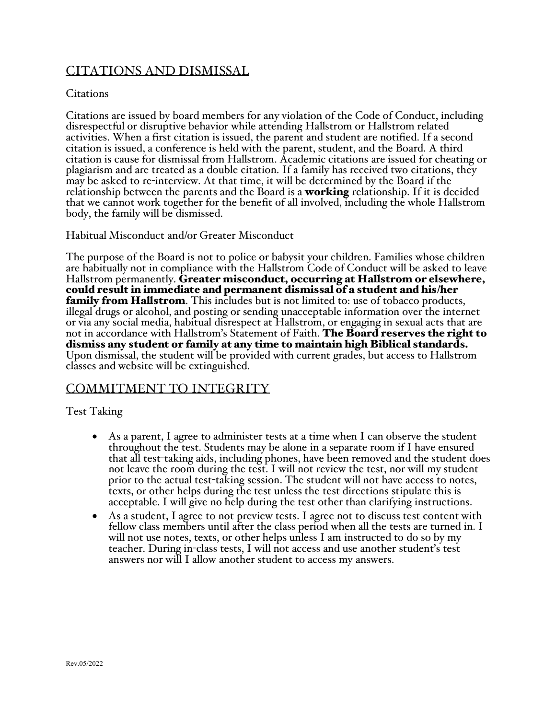# CITATIONS AND DISMISSAL

## **Citations**

Citations are issued by board members for any violation of the Code of Conduct, including disrespectful or disruptive behavior while attending Hallstrom or Hallstrom related activities. When a first citation is issued, the parent and student are notified. If a second citation is issued, a conference is held with the parent, student, and the Board. A third citation is cause for dismissal from Hallstrom. Academic citations are issued for cheating or plagiarism and are treated as a double citation. If a family has received two citations, they may be asked to re-interview. At that time, it will be determined by the Board if the relationship between the parents and the Board is a **working** relationship. If it is decided that we cannot work together for the benefit of all involved, including the whole Hallstrom body, the family will be dismissed.

Habitual Misconduct and/or Greater Misconduct

The purpose of the Board is not to police or babysit your children. Families whose children are habitually not in compliance with the Hallstrom Code of Conduct will be asked to leave Hallstrom permanently. Greater misconduct, occurring at Hallstrom or elsewhere, could result in immediate and permanent dismissal of a student and his/her **family from Hallstrom**. This includes but is not limited to: use of tobacco products, illegal drugs or alcohol, and posting or sending unacceptable information over the internet or via any social media, habitual disrespect at Hallstrom, or engaging in sexual acts that are not in accordance with Hallstrom's Statement of Faith. The Board reserves the right to dismiss any student or family at any time to maintain high Biblical standards. Upon dismissal, the student will be provided with current grades, but access to Hallstrom classes and website will be extinguished.

# COMMITMENT TO INTEGRITY

# Test Taking

- As a parent, I agree to administer tests at a time when I can observe the student throughout the test. Students may be alone in a separate room if I have ensured that all test-taking aids, including phones, have been removed and the student does not leave the room during the test. I will not review the test, nor will my student prior to the actual test-taking session. The student will not have access to notes, texts, or other helps during the test unless the test directions stipulate this is acceptable. I will give no help during the test other than clarifying instructions.
- As a student, I agree to not preview tests. I agree not to discuss test content with fellow class members until after the class period when all the tests are turned in. I will not use notes, texts, or other helps unless I am instructed to do so by my teacher. During in-class tests, I will not access and use another student's test answers nor will I allow another student to access my answers.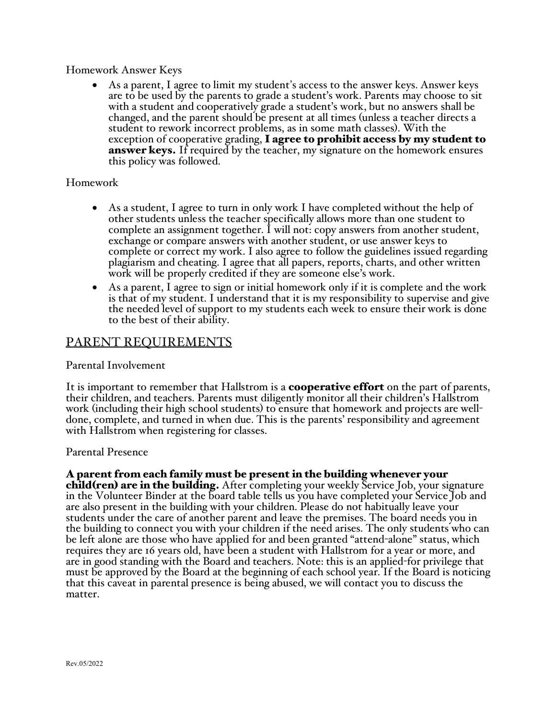# Homework Answer Keys

As a parent, I agree to limit my student's access to the answer keys. Answer keys are to be used by the parents to grade a student's work. Parents may choose to sit with a student and cooperatively grade a student's work, but no answers shall be changed, and the parent should be present at all times (unless a teacher directs a student to rework incorrect problems, as in some math classes). With the exception of cooperative grading, I agree to prohibit access by my student to answer keys. If required by the teacher, my signature on the homework ensures this policy was followed.

## Homework

- As a student, I agree to turn in only work I have completed without the help of other students unless the teacher specifically allows more than one student to complete an assignment together. I will not: copy answers from another student, exchange or compare answers with another student, or use answer keys to complete or correct my work. I also agree to follow the guidelines issued regarding plagiarism and cheating. I agree that all papers, reports, charts, and other written work will be properly credited if they are someone else's work.
- As a parent, I agree to sign or initial homework only if it is complete and the work is that of my student. I understand that it is my responsibility to supervise and give the needed level of support to my students each week to ensure their work is done to the best of their ability.

# PARENT REQUIREMENTS

#### Parental Involvement

It is important to remember that Hallstrom is a **cooperative effort** on the part of parents, their children, and teachers. Parents must diligently monitor all their children's Hallstrom done, complete, and turned in when due. This is the parents' responsibility and agreement with Hallstrom when registering for classes.

#### Parental Presence

A parent from each family must be present in the building whenever your<br>child(ren) are in the building. After completing your weekly Service Job, your signature in the Volunteer Binder at the board table tells us you have completed your Service Job and are also present in the building with your children. Please do not habitually leave your students under the care of another parent and leave the premises. The board needs you in the building to connect you with your children if the need arises. The only students who can be left alone are those who have applied for and been granted "attend-alone" status, which requires they are 16 years old, have been a student with Hallstrom for a year or more, and are in good standing with the Board and teachers. Note: this is an applied-for privilege that must be approved by the Board at the beginning of each school year. If the Board is noticing that this caveat in parental presence is being abused, we will contact you to discuss the matter.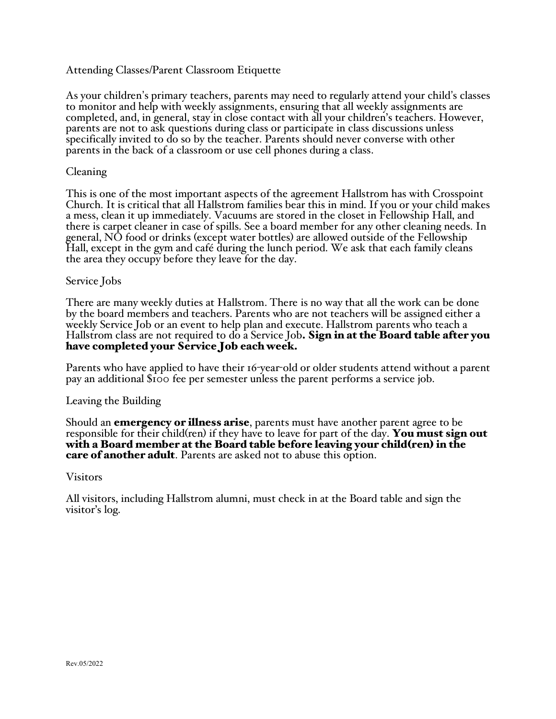# Attending Classes/Parent Classroom Etiquette

As your children's primary teachers, parents may need to regularly attend your child's classes to monitor and help with weekly assignments, ensuring that all weekly assignments are completed, and, in general, stay in close contact with all your children's teachers. However, parents are not to ask questions during class or participate in class discussions unless specifically invited to do so by the teacher. Parents should never converse with other parents in the back of a classroom or use cell phones during a class.

## Cleaning

This is one of the most important aspects of the agreement Hallstrom has with Crosspoint Church. It is critical that all Hallstrom families bear this in mind. If you or your child makes a mess, clean it up immediately. Vacuums are stored in the closet in Fellowship Hall, and there is carpet cleaner in case of spills. See a board member for any other cleaning needs. In general, NO food or drinks (except water bottles) are allowed outside of the Fellowship Hall, except in the gym and café during the lunch period. We ask that each family cleans the area they occupy before they leave for the day.

## Service Jobs

There are many weekly duties at Hallstrom. There is no way that all the work can be done by the board members and teachers. Parents who are not teachers will be assigned either a weekly Service Job or an event to help plan and execute. Hallstrom parents who teach a Hallstrom class are not required to do a Service Job. Sign in at the Board table after you have completed your Service Job each week.

Parents who have applied to have their 16-year-old or older students attend without a parent pay an additional \$100 fee per semester unless the parent performs a service job.

#### Leaving the Building

Should an **emergency or illness arise**, parents must have another parent agree to be responsible for their child(ren) if they have to leave for part of the day. You must sign out with a Board member at the Board table before leaving your child(ren) in the **care of another adult**. Parents are asked not to abuse this option.

#### Visitors

All visitors, including Hallstrom alumni, must check in at the Board table and sign the visitor's log.